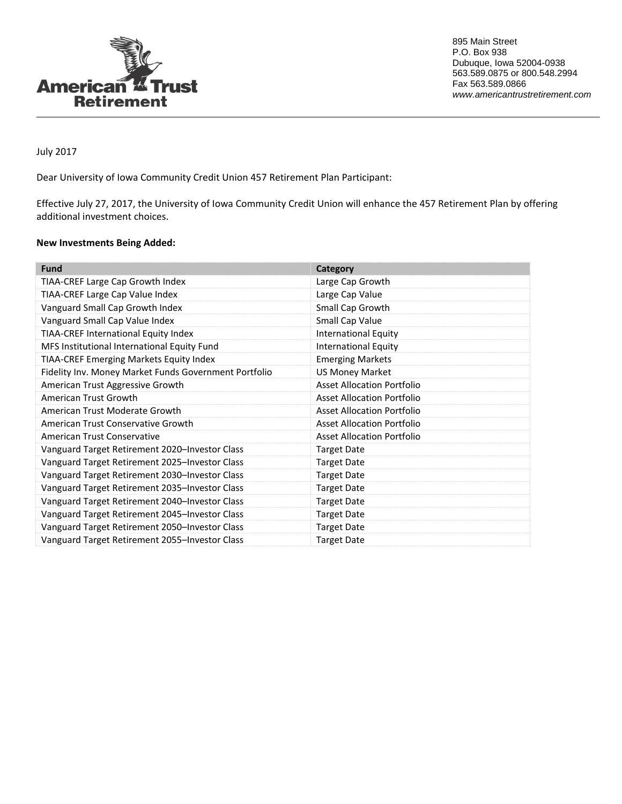

895 Main Street P.O. Box 938 Dubuque, Iowa 52004-0938 563.589.0875 or 800.548.2994 Fax 563.589.0866 *www.americantrustretirement.com*

July 2017

Dear University of Iowa Community Credit Union 457 Retirement Plan Participant:

Effective July 27, 2017, the University of Iowa Community Credit Union will enhance the 457 Retirement Plan by offering additional investment choices.

## **New Investments Being Added:**

| <b>Fund</b>                                           | Category                          |
|-------------------------------------------------------|-----------------------------------|
| TIAA-CREF Large Cap Growth Index                      | Large Cap Growth                  |
| TIAA-CREF Large Cap Value Index                       | Large Cap Value                   |
| Vanguard Small Cap Growth Index                       | Small Cap Growth                  |
| Vanguard Small Cap Value Index                        | Small Cap Value                   |
| TIAA-CREF International Equity Index                  | <b>International Equity</b>       |
| MFS Institutional International Equity Fund           | <b>International Equity</b>       |
| <b>TIAA-CREF Emerging Markets Equity Index</b>        | <b>Emerging Markets</b>           |
| Fidelity Inv. Money Market Funds Government Portfolio | <b>US Money Market</b>            |
| American Trust Aggressive Growth                      | <b>Asset Allocation Portfolio</b> |
| American Trust Growth                                 | <b>Asset Allocation Portfolio</b> |
| American Trust Moderate Growth                        | <b>Asset Allocation Portfolio</b> |
| American Trust Conservative Growth                    | <b>Asset Allocation Portfolio</b> |
| American Trust Conservative                           | Asset Allocation Portfolio        |
| Vanguard Target Retirement 2020-Investor Class        | <b>Target Date</b>                |
| Vanguard Target Retirement 2025-Investor Class        | <b>Target Date</b>                |
| Vanguard Target Retirement 2030-Investor Class        | <b>Target Date</b>                |
| Vanguard Target Retirement 2035-Investor Class        | <b>Target Date</b>                |
| Vanguard Target Retirement 2040-Investor Class        | <b>Target Date</b>                |
| Vanguard Target Retirement 2045-Investor Class        | <b>Target Date</b>                |
| Vanguard Target Retirement 2050-Investor Class        | <b>Target Date</b>                |
| Vanguard Target Retirement 2055-Investor Class        | <b>Target Date</b>                |